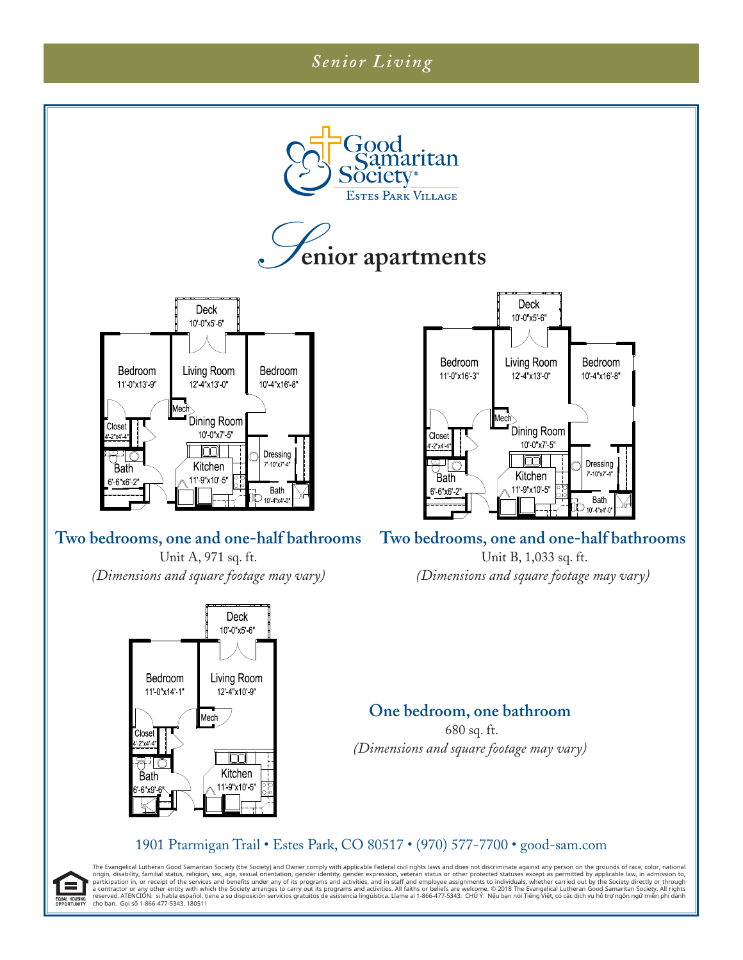# *Senior Living*







### **Two bedrooms, one and one-half bathrooms**

Unit A, 971 sq. ft. *(Dimensions and square footage may vary)*





#### **Two bedrooms, one and one-half bathrooms**

 Unit B, 1,033 sq. ft. *(Dimensions and square footage may vary)*

### **One bedroom, one bathroom**

 680 sq. ft. *(Dimensions and square footage may vary)*

#### 1901 Ptarmigan Trail • Estes Park, CO 80517 • (970) 577-7700 • good-sam.com

The Evangelical Lutheran Good Samaritan Society (the Society) and Owner comply with applicable Federal civil rights laws and does not discriminate against any person on the grounds of race, color, national origin, damarit